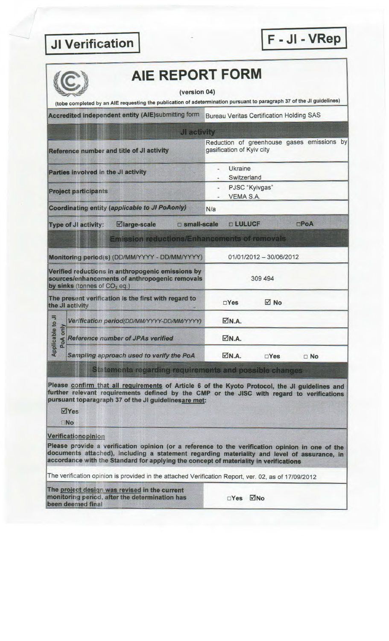## **JI Verification**

F - JI - VRep



## **AIE REPORT FORM**

(version 04)

(tobe completed by an AIE requesting the publication of adetermination pursuant to paragraph 37 of the JI guidelines)

Accredited independent entity (AIE)submitting form Bureau Veritas Certification Holding SAS

|                                                                                                                                       |                                            |                                                      | JI activity   |                             |                                            |             |           |  |
|---------------------------------------------------------------------------------------------------------------------------------------|--------------------------------------------|------------------------------------------------------|---------------|-----------------------------|--------------------------------------------|-------------|-----------|--|
|                                                                                                                                       |                                            | Reference number and title of JI activity            |               | gasification of Kyiv city   | Reduction of greenhouse gases emissions by |             |           |  |
| Parties involved in the JI activity                                                                                                   |                                            |                                                      |               | Ukraine<br>Switzerland      |                                            |             |           |  |
| <b>Project participants</b>                                                                                                           |                                            |                                                      |               | PJSC "Kyivgas"<br>VEMA S.A. |                                            |             |           |  |
|                                                                                                                                       |                                            | Coordinating entity (applicable to JI PoAonly)       |               | N/a                         |                                            |             |           |  |
|                                                                                                                                       | <b>Type of JI activity:</b>                | ⊠large-scale                                         | □ small-scale |                             | <b>DLULUCF</b>                             | <b>OPoA</b> |           |  |
|                                                                                                                                       |                                            | <b>Emission reductions/Enhancements of removals</b>  |               |                             |                                            |             |           |  |
|                                                                                                                                       |                                            | Monitoring period(s) (DD/MM/YYYY - DD/MM/YYYY)       |               |                             | 01/01/2012 - 30/06/2012                    |             |           |  |
| Verified reductions in anthropogenic emissions by<br>sources/enhancements of anthropogenic removals<br>by sinks (tonnes of $CO2$ eq.) |                                            |                                                      | 309 494       |                             |                                            |             |           |  |
|                                                                                                                                       | the JI activity                            | The present verification is the first with regard to |               | $\Box$ Yes                  | $\sqrt{ }$ No                              |             |           |  |
| Applicable to JI<br>PoA only                                                                                                          | Verification period(DD/MM/YYYY-DD/MM/YYYY) |                                                      |               | $\nabla N.A.$               |                                            |             |           |  |
|                                                                                                                                       | <b>Reference number of JPAs verified</b>   |                                                      |               | $\nabla N.A.$               |                                            |             |           |  |
|                                                                                                                                       | Sampling approach used to verify the PoA   |                                                      |               | $\nabla N.A.$               | $\Box$ Yes                                 |             | $\Box$ No |  |

Statements regarding requirements and possible changes

Please confirm that all requirements of Article 6 of the Kyoto Protocol, the JI guidelines and further relevant requirements defined by the CMP or the JISC with regard to verifications pursuant toparagraph 37 of the JI guidelinesare met:

 $\overline{\mathsf{Y}}$ Yes

 $\Box$ No

Verificationopinion

Please provide a verification opinion (or a reference to the verification opinion in one of the documents attached), including a statement regarding materiality and level of assurance, in accordance with the Standard for applying the concept of materiality in verifications

The verification opinion is provided in the attached Verification Report, ver. 02, as of 17/09/2012

The project design was revised in the current monitoring period, after the determination has been deemed final

□Yes ⊠No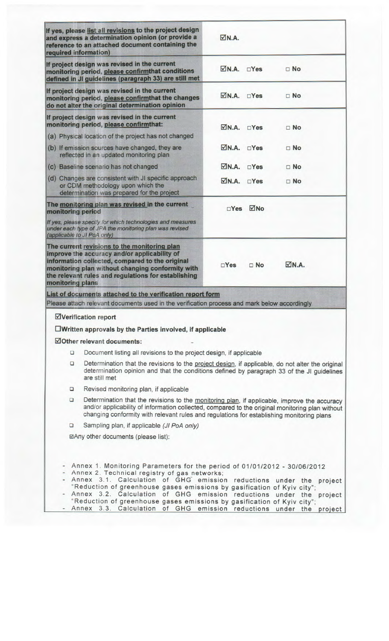| required information)       | If yes, please list all revisions to the project design<br>and express a determination opinion (or provide a<br>reference to an attached document containing the                                                                                                                                                                                                                                                                                                                                | $\nabla N.A.$              |            |               |  |  |
|-----------------------------|-------------------------------------------------------------------------------------------------------------------------------------------------------------------------------------------------------------------------------------------------------------------------------------------------------------------------------------------------------------------------------------------------------------------------------------------------------------------------------------------------|----------------------------|------------|---------------|--|--|
|                             | If project design was revised in the current<br>monitoring period, please confirmthat conditions<br>defined in JI guidelines (paragraph 33) are still met                                                                                                                                                                                                                                                                                                                                       | $\n  ON.A.\n  Yes$         |            | $\Box$ No     |  |  |
|                             | If project design was revised in the current<br>monitoring period, please confirmthat the changes<br>do not alter the original determination opinion                                                                                                                                                                                                                                                                                                                                            | $\nabla N.A.$ $\nabla Yes$ |            | $\n  No\n$    |  |  |
|                             | If project design was revised in the current<br>monitoring period, please confirmthat:                                                                                                                                                                                                                                                                                                                                                                                                          | $\nabla N.A.$              | $\Box$ Yes | $\Box$ No     |  |  |
|                             | (a) Physical location of the project has not changed                                                                                                                                                                                                                                                                                                                                                                                                                                            |                            |            |               |  |  |
|                             | (b) If emission sources have changed, they are<br>reflected in an updated monitoring plan                                                                                                                                                                                                                                                                                                                                                                                                       | $\nabla N.A.$ $\nabla Yes$ |            | $\Box$ No     |  |  |
|                             | (c) Baseline scenario has not changed                                                                                                                                                                                                                                                                                                                                                                                                                                                           | $\nabla N.A.$              | $\Box$ Yes | $\square$ No  |  |  |
|                             | (d) Changes are consistent with JI specific approach<br>or CDM methodology upon which the<br>determination was prepared for the project                                                                                                                                                                                                                                                                                                                                                         | $\nabla N.A.$ $\nabla Yes$ |            | $\Box$ No     |  |  |
| monitoring period           | The monitoring plan was revised in the current                                                                                                                                                                                                                                                                                                                                                                                                                                                  | $\Box$ Yes                 | ⊠No        |               |  |  |
| (applicable to JI PoA only) | If yes, please specify for which technologies and measures<br>under each type of JPA the monitoring plan was revised                                                                                                                                                                                                                                                                                                                                                                            |                            |            |               |  |  |
| <b>monitoring plans</b>     | The current revisions to the monitoring plan<br>improve the accuracy and/or applicability of<br>information collected, compared to the original<br>monitoring plan without changing conformity with<br>the relevant rules and regulations for establishing                                                                                                                                                                                                                                      | $\Box$ Yes                 | $\Box$ No  | $\nabla N.A.$ |  |  |
|                             | List of documents attached to the verification report form<br>Please attach relevant documents used in the verification process and mark below accordingly                                                                                                                                                                                                                                                                                                                                      |                            |            |               |  |  |
|                             | ⊠Verification report                                                                                                                                                                                                                                                                                                                                                                                                                                                                            |                            |            |               |  |  |
|                             | $\square$ Written approvals by the Parties involved, if applicable                                                                                                                                                                                                                                                                                                                                                                                                                              |                            |            |               |  |  |
|                             | ☑Other relevant documents:                                                                                                                                                                                                                                                                                                                                                                                                                                                                      |                            |            |               |  |  |
|                             |                                                                                                                                                                                                                                                                                                                                                                                                                                                                                                 |                            |            |               |  |  |
| O<br>O                      | Document listing all revisions to the project design, if applicable<br>Determination that the revisions to the project design, if applicable, do not alter the original<br>determination opinion and that the conditions defined by paragraph 33 of the JI guidelines<br>are still met                                                                                                                                                                                                          |                            |            |               |  |  |
| □                           | Revised monitoring plan, if applicable                                                                                                                                                                                                                                                                                                                                                                                                                                                          |                            |            |               |  |  |
| $\Box$                      | Determination that the revisions to the monitoring plan, if applicable, improve the accuracy<br>and/or applicability of information collected, compared to the original monitoring plan without<br>changing conformity with relevant rules and regulations for establishing monitoring plans                                                                                                                                                                                                    |                            |            |               |  |  |
| $\Box$                      | Sampling plan, if applicable (JI PoA only)                                                                                                                                                                                                                                                                                                                                                                                                                                                      |                            |            |               |  |  |
|                             | ⊠Any other documents (please list):                                                                                                                                                                                                                                                                                                                                                                                                                                                             |                            |            |               |  |  |
|                             | Annex 1. Monitoring Parameters for the period of 01/01/2012 - 30/06/2012<br>Annex 2. Technical registry of gas networks;<br>- Annex 3.1. Calculation of GHG emission reductions under the project<br>"Reduction of greenhouse gases emissions by gasification of Kyiv city";<br>- Annex 3.2. Calculation of GHG emission reductions under the<br>"Reduction of greenhouse gases emissions by gasification of Kyiv city";<br>Annex 3.3. Calculation of GHG emission reductions under the project |                            |            | project       |  |  |